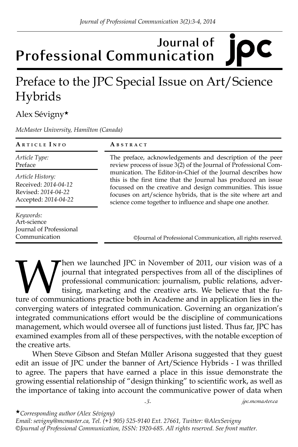## **Journal of Professional Communication**

## Preface to the JPC Special Issue on Art/Science Hybrids

## Alex Sévigny★

*McMaster University, Hamilton (Canada)*

| ARTICLE INFO                                                                                   | ABSTRACT                                                                                                                                                                                                                                                                                                                                                                                                                                                     |
|------------------------------------------------------------------------------------------------|--------------------------------------------------------------------------------------------------------------------------------------------------------------------------------------------------------------------------------------------------------------------------------------------------------------------------------------------------------------------------------------------------------------------------------------------------------------|
| Article Type:<br>Preface                                                                       | The preface, acknowledgements and description of the peer<br>review process of issue 3(2) of the Journal of Professional Com-<br>munication. The Editor-in-Chief of the Journal describes how<br>this is the first time that the Journal has produced an issue<br>focussed on the creative and design communities. This issue<br>focuses on art/science hybrids, that is the site where art and<br>science come together to influence and shape one another. |
| <i>Article History:</i><br>Received: 2014-04-12<br>Revised: 2014-04-22<br>Accepted: 2014-04-22 |                                                                                                                                                                                                                                                                                                                                                                                                                                                              |
| Keywords:<br>Art-science<br>Journal of Professional<br>Communication                           | ©Journal of Professional Communication, all rights reserved.                                                                                                                                                                                                                                                                                                                                                                                                 |

When we launched JPC in November of 2011, our vision was of a journal that integrated perspectives from all of the disciplines of professional communication: journalism, public relations, advertising, marketing and the cre journal that integrated perspectives from all of the disciplines of professional communication: journalism, public relations, advertising, marketing and the creative arts. We believe that the future of communications practice both in Academe and in application lies in the converging waters of integrated communication. Governing an organization's integrated communications effort would be the discipline of communications management, which would oversee all of functions just listed. Thus far, JPC has examined examples from all of these perspectives, with the notable exception of the creative arts.

When Steve Gibson and Stefan Müller Arisona suggested that they guest edit an issue of JPC under the banner of Art/Science Hybrids - I was thrilled to agree. The papers that have earned a place in this issue demonstrate the growing essential relationship of "design thinking" to scientific work, as well as the importance of taking into account the communicative power of data when

*-3- jpc.mcmaster.ca*